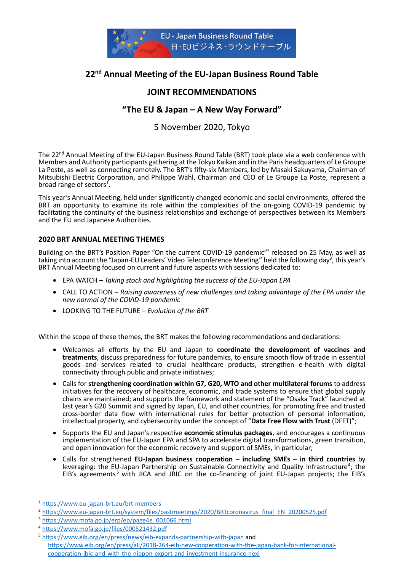

# **22nd Annual Meeting of the EU-Japan Business Round Table**

# **JOINT RECOMMENDATIONS**

# **"The EU & Japan – A New Way Forward"**

# 5 November 2020, Tokyo

The 22<sup>nd</sup> Annual Meeting of the EU-Japan Business Round Table (BRT) took place via a web conference with Members and Authority participants gathering at the Tokyo Kaikan and in the Paris headquarters of Le Groupe La Poste, as well as connecting remotely. The BRT's fifty-six Members, led by Masaki Sakuyama, Chairman of Mitsubishi Electric Corporation, and Philippe Wahl, Chairman and CEO of Le Groupe La Poste, represent a broad range of sectors<sup>1</sup>.

This year's Annual Meeting, held under significantly changed economic and social environments, offered the BRT an opportunity to examine its role within the complexities of the on-going COVID-19 pandemic by facilitating the continuity of the business relationships and exchange of perspectives between its Members and the EU and Japanese Authorities.

### **2020 BRT ANNUAL MEETING THEMES**

Building on the BRT's Position Paper "On the current COVID-19 pandemic"<sup>2</sup> released on 25 May, as well as taking into account the "Japan-EU Leaders' Video Teleconference Meeting" held the following day<sup>3</sup>, this year's BRT Annual Meeting focused on current and future aspects with sessions dedicated to:

- EPA WATCH *Taking stock and highlighting the success of the EU-Japan EPA*
- CALL TO ACTION *Raising awareness of new challenges and taking advantage of the EPA under the new normal of the COVID-19 pandemic*
- LOOKING TO THE FUTURE *Evolution of the BRT*

Within the scope of these themes, the BRT makes the following recommendations and declarations:

- Welcomes all efforts by the EU and Japan to **coordinate the development of vaccines and treatments**, discuss preparedness for future pandemics, to ensure smooth flow of trade in essential goods and services related to crucial healthcare products, strengthen e-health with digital connectivity through public and private initiatives;
- Calls for **strengthening coordination within G7, G20, WTO and other multilateral forums** to address initiatives for the recovery of healthcare, economic, and trade systems to ensure that global supply chains are maintained; and supports the framework and statement of the "Osaka Track" launched at last year's G20 Summit and signed by Japan, EU, and other countries, for promoting free and trusted cross-border data flow with international rules for better protection of personal information, intellectual property, and cybersecurity under the concept of "**Data Free Flow with Trust** (DFFT)";
- Supports the EU and Japan's respective **economic stimulus packages**, and encourages a continuous implementation of the EU-Japan EPA and SPA to accelerate digital transformations, green transition, and open innovation for the economic recovery and support of SMEs, in particular;
- Calls for strengthened **EU-Japan business cooperation – including SMEs – in third countries** by leveraging: the EU-Japan Partnership on Sustainable Connectivity and Quality Infrastructure<sup>4</sup>; the EIB's agreements<sup>5</sup> with JICA and JBIC on the co-financing of joint EU-Japan projects; the EIB's

<sup>1</sup> <https://www.eu-japan-brt.eu/brt-members>

<sup>&</sup>lt;sup>2</sup> [https://www.eu-japan-brt.eu/system/files/pastmeetings/2020/BRTcoronavirus\\_final\\_EN\\_20200525.pdf](https://www.eu-japan-brt.eu/system/files/pastmeetings/2020/BRTcoronavirus_final_EN_20200525.pdf)

<sup>3</sup> [https://www.mofa.go.jp/erp/ep/page4e\\_001066.html](https://www.mofa.go.jp/erp/ep/page4e_001066.html)

<sup>4</sup> <https://www.mofa.go.jp/files/000521432.pdf>

<sup>5</sup> <https://www.eib.org/en/press/news/eib-expands-partnership-with-japan> and [https://www.eib.org/en/press/all/2018-264-eib-new-cooperation-with-the-japan-bank-for-international](https://www.eib.org/en/press/all/2018-264-eib-new-cooperation-with-the-japan-bank-for-international-cooperation-jbic-and-with-the-nippon-export-and-investment-insurance-nexi)[cooperation-jbic-and-with-the-nippon-export-and-investment-insurance-nexi](https://www.eib.org/en/press/all/2018-264-eib-new-cooperation-with-the-japan-bank-for-international-cooperation-jbic-and-with-the-nippon-export-and-investment-insurance-nexi)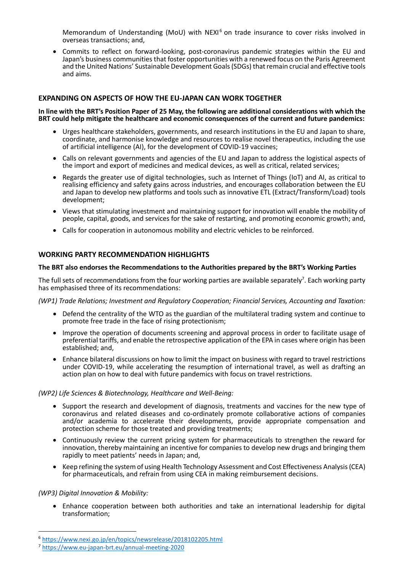Memorandum of Understanding (MoU) with NEXI<sup>6</sup> on trade insurance to cover risks involved in overseas transactions; and,

• Commits to reflect on forward-looking, post-coronavirus pandemic strategies within the EU and Japan's business communities that foster opportunities with a renewed focus on the Paris Agreement and the United Nations' Sustainable Development Goals (SDGs) that remain crucial and effective tools and aims.

## **EXPANDING ON ASPECTS OF HOW THE EU-JAPAN CAN WORK TOGETHER**

**In line with the BRT's Position Paper of 25 May, the following are additional considerations with which the BRT could help mitigate the healthcare and economic consequences of the current and future pandemics:**

- Urges healthcare stakeholders, governments, and research institutions in the EU and Japan to share, coordinate, and harmonise knowledge and resources to realise novel therapeutics, including the use of artificial intelligence (AI), for the development of COVID-19 vaccines;
- Calls on relevant governments and agencies of the EU and Japan to address the logistical aspects of the import and export of medicines and medical devices, as well as critical, related services;
- Regards the greater use of digital technologies, such as Internet of Things (IoT) and AI, as critical to realising efficiency and safety gains across industries, and encourages collaboration between the EU and Japan to develop new platforms and tools such as innovative ETL (Extract/Transform/Load) tools development;
- Views that stimulating investment and maintaining support for innovation will enable the mobility of people, capital, goods, and services for the sake of restarting, and promoting economic growth; and,
- Calls for cooperation in autonomous mobility and electric vehicles to be reinforced.

### **WORKING PARTY RECOMMENDATION HIGHLIGHTS**

#### **The BRT also endorses the Recommendations to the Authorities prepared by the BRT's Working Parties**

The full sets of recommendations from the four working parties are available separately<sup>7</sup>. Each working party has emphasised three of its recommendations:

*(WP1) Trade Relations; Investment and Regulatory Cooperation; Financial Services, Accounting and Taxation:*

- Defend the centrality of the WTO as the guardian of the multilateral trading system and continue to promote free trade in the face of rising protectionism;
- Improve the operation of documents screening and approval process in order to facilitate usage of preferential tariffs, and enable the retrospective application of the EPA in cases where origin has been established; and,
- Enhance bilateral discussions on how to limit the impact on business with regard to travel restrictions under COVID-19, while accelerating the resumption of international travel, as well as drafting an action plan on how to deal with future pandemics with focus on travel restrictions.

#### *(WP2) Life Sciences & Biotechnology, Healthcare and Well-Being:*

- Support the research and development of diagnosis, treatments and vaccines for the new type of coronavirus and related diseases and co-ordinately promote collaborative actions of companies and/or academia to accelerate their developments, provide appropriate compensation and protection scheme for those treated and providing treatments;
- Continuously review the current pricing system for pharmaceuticals to strengthen the reward for innovation, thereby maintaining an incentive for companies to develop new drugs and bringing them rapidly to meet patients' needs in Japan; and,
- Keep refining the system of using Health Technology Assessment and Cost Effectiveness Analysis (CEA) for pharmaceuticals, and refrain from using CEA in making reimbursement decisions.

### *(WP3) Digital Innovation & Mobility:*

• Enhance cooperation between both authorities and take an international leadership for digital transformation;

<sup>6</sup> <https://www.nexi.go.jp/en/topics/newsrelease/2018102205.html>

<sup>7</sup> <https://www.eu-japan-brt.eu/annual-meeting-2020>